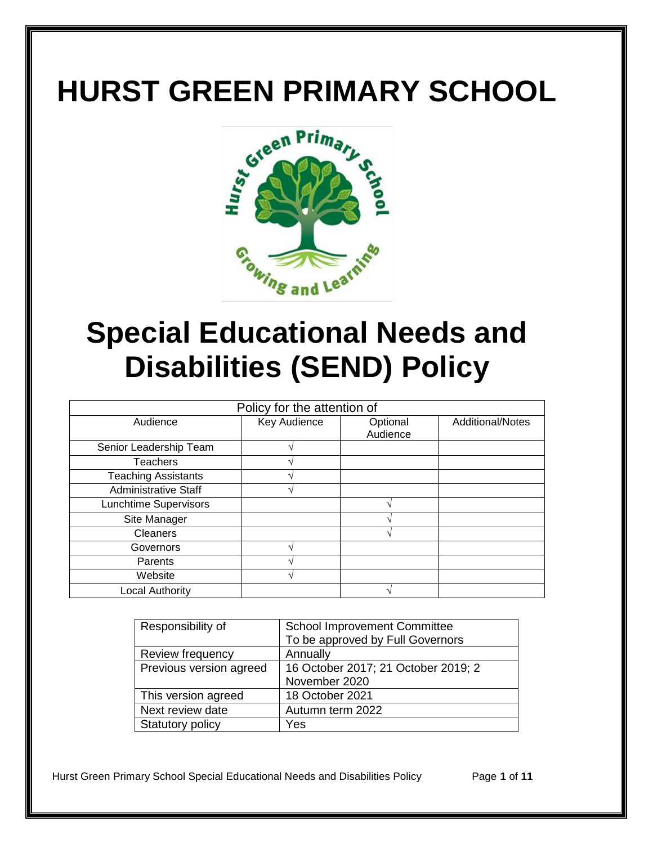# **HURST GREEN PRIMARY SCHOOL**



## **Special Educational Needs and Disabilities (SEND) Policy**

| Policy for the attention of |              |                      |                         |
|-----------------------------|--------------|----------------------|-------------------------|
| Audience                    | Key Audience | Optional<br>Audience | <b>Additional/Notes</b> |
| Senior Leadership Team      |              |                      |                         |
| <b>Teachers</b>             |              |                      |                         |
| <b>Teaching Assistants</b>  |              |                      |                         |
| <b>Administrative Staff</b> |              |                      |                         |
| Lunchtime Supervisors       |              |                      |                         |
| Site Manager                |              |                      |                         |
| <b>Cleaners</b>             |              |                      |                         |
| Governors                   |              |                      |                         |
| Parents                     |              |                      |                         |
| Website                     |              |                      |                         |
| <b>Local Authority</b>      |              |                      |                         |

| Responsibility of       | <b>School Improvement Committee</b> |  |
|-------------------------|-------------------------------------|--|
|                         | To be approved by Full Governors    |  |
| Review frequency        | Annually                            |  |
| Previous version agreed | 16 October 2017; 21 October 2019; 2 |  |
|                         | November 2020                       |  |
| This version agreed     | 18 October 2021                     |  |
| Next review date        | Autumn term 2022                    |  |
| Statutory policy        | Yes                                 |  |

Hurst Green Primary School Special Educational Needs and Disabilities Policy Page **1** of **11**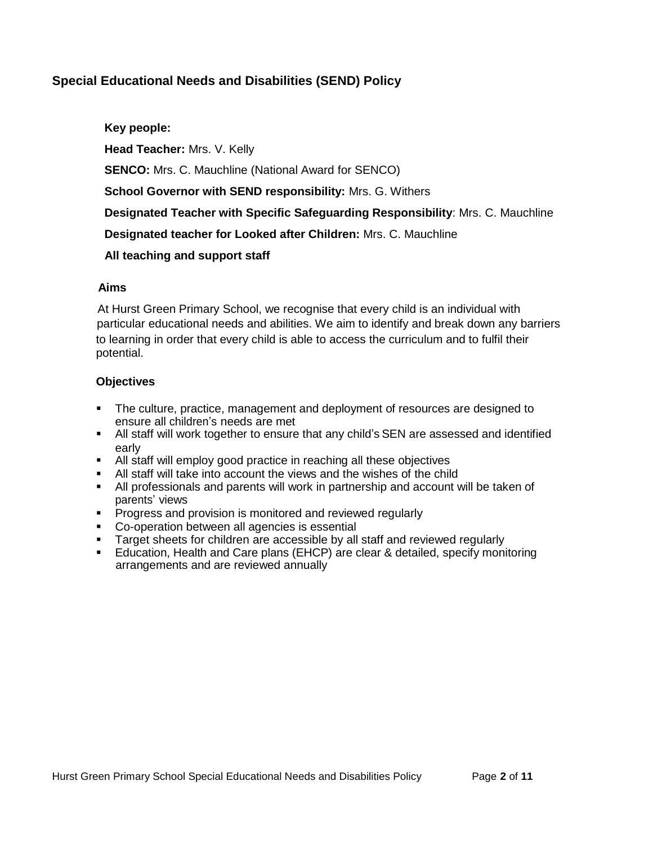## **Special Educational Needs and Disabilities (SEND) Policy**

 **Key people: Head Teacher:** Mrs. V. Kelly **SENCO:** Mrs. C. Mauchline (National Award for SENCO) **School Governor with SEND responsibility:** Mrs. G. Withers  **Designated Teacher with Specific Safeguarding Responsibility**: Mrs. C. Mauchline  **Designated teacher for Looked after Children:** Mrs. C. Mauchline  **All teaching and support staff**

#### **Aims**

 At Hurst Green Primary School, we recognise that every child is an individual with particular educational needs and abilities. We aim to identify and break down any barriers to learning in order that every child is able to access the curriculum and to fulfil their potential.

## **Objectives**

- The culture, practice, management and deployment of resources are designed to ensure all children's needs are met
- All staff will work together to ensure that any child's SEN are assessed and identified early
- All staff will employ good practice in reaching all these objectives
- All staff will take into account the views and the wishes of the child
- All professionals and parents will work in partnership and account will be taken of parents' views
- **Progress and provision is monitored and reviewed regularly**
- Co-operation between all agencies is essential
- Target sheets for children are accessible by all staff and reviewed regularly
- Education, Health and Care plans (EHCP) are clear & detailed, specify monitoring arrangements and are reviewed annually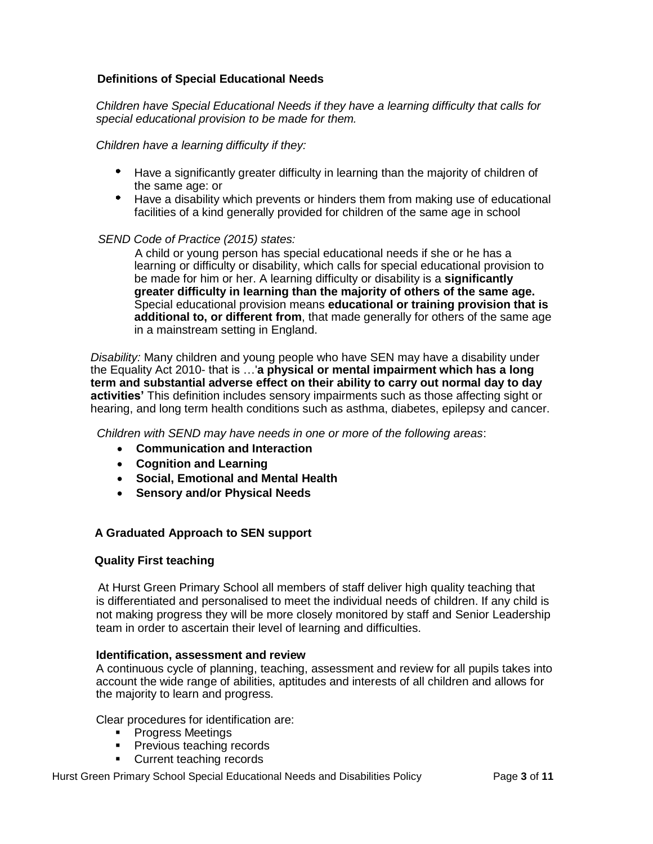## **Definitions of Special Educational Needs**

*Children have Special Educational Needs if they have a learning difficulty that calls for special educational provision to be made for them.*

*Children have a learning difficulty if they:*

- Have a significantly greater difficulty in learning than the majority of children of the same age: or
- Have a disability which prevents or hinders them from making use of educational facilities of a kind generally provided for children of the same age in school

#### *SEND Code of Practice (2015) states:*

 A child or young person has special educational needs if she or he has a learning or difficulty or disability, which calls for special educational provision to be made for him or her. A learning difficulty or disability is a **significantly greater difficulty in learning than the majority of others of the same age.** Special educational provision means **educational or training provision that is additional to, or different from**, that made generally for others of the same age in a mainstream setting in England.

*Disability:* Many children and young people who have SEN may have a disability under the Equality Act 2010- that is …'**a physical or mental impairment which has a long term and substantial adverse effect on their ability to carry out normal day to day activities'** This definition includes sensory impairments such as those affecting sight or hearing, and long term health conditions such as asthma, diabetes, epilepsy and cancer.

*Children with SEND may have needs in one or more of the following areas*:

- **Communication and Interaction**
- **Cognition and Learning**
- **Social, Emotional and Mental Health**
- **Sensory and/or Physical Needs**

#### **A Graduated Approach to SEN support**

#### **Quality First teaching**

At Hurst Green Primary School all members of staff deliver high quality teaching that is differentiated and personalised to meet the individual needs of children. If any child is not making progress they will be more closely monitored by staff and Senior Leadership team in order to ascertain their level of learning and difficulties.

#### **Identification, assessment and review**

A continuous cycle of planning, teaching, assessment and review for all pupils takes into account the wide range of abilities, aptitudes and interests of all children and allows for the majority to learn and progress.

Clear procedures for identification are:

- **Progress Meetings**
- **Previous teaching records**
- **Current teaching records**

Hurst Green Primary School Special Educational Needs and Disabilities Policy Page **3** of **11**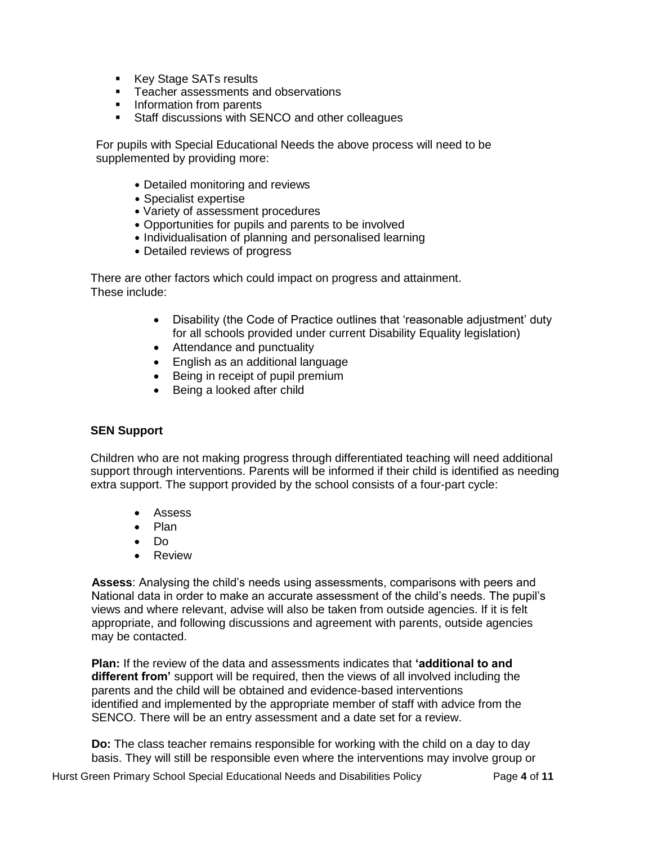- Key Stage SATs results
- **Teacher assessments and observations**
- Information from parents
- **Staff discussions with SENCO and other colleagues**

For pupils with Special Educational Needs the above process will need to be supplemented by providing more:

- Detailed monitoring and reviews
- Specialist expertise
- Variety of assessment procedures
- Opportunities for pupils and parents to be involved
- Individualisation of planning and personalised learning
- Detailed reviews of progress

There are other factors which could impact on progress and attainment. These include:

- Disability (the Code of Practice outlines that 'reasonable adjustment' duty for all schools provided under current Disability Equality legislation)
- Attendance and punctuality
- English as an additional language
- Being in receipt of pupil premium
- Being a looked after child

#### **SEN Support**

Children who are not making progress through differentiated teaching will need additional support through interventions. Parents will be informed if their child is identified as needing extra support. The support provided by the school consists of a four-part cycle:

- Assess
- Plan
- $\bullet$  Do
- Review

 **Assess**: Analysing the child's needs using assessments, comparisons with peers and National data in order to make an accurate assessment of the child's needs. The pupil's views and where relevant, advise will also be taken from outside agencies. If it is felt appropriate, and following discussions and agreement with parents, outside agencies may be contacted.

 **Plan:** If the review of the data and assessments indicates that **'additional to and different from'** support will be required, then the views of all involved including the parents and the child will be obtained and evidence-based interventions identified and implemented by the appropriate member of staff with advice from the SENCO. There will be an entry assessment and a date set for a review.

 **Do:** The class teacher remains responsible for working with the child on a day to day basis. They will still be responsible even where the interventions may involve group or

Hurst Green Primary School Special Educational Needs and Disabilities Policy Page **4** of **11**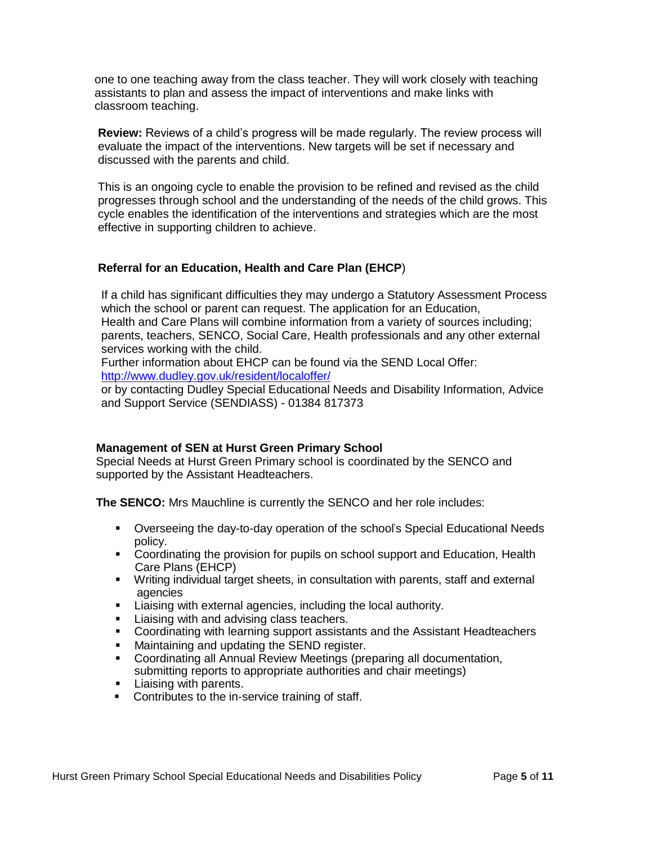one to one teaching away from the class teacher. They will work closely with teaching assistants to plan and assess the impact of interventions and make links with classroom teaching.

 **Review:** Reviews of a child's progress will be made regularly. The review process will evaluate the impact of the interventions. New targets will be set if necessary and discussed with the parents and child.

 This is an ongoing cycle to enable the provision to be refined and revised as the child progresses through school and the understanding of the needs of the child grows. This cycle enables the identification of the interventions and strategies which are the most effective in supporting children to achieve.

## **Referral for an Education, Health and Care Plan (EHCP**)

 If a child has significant difficulties they may undergo a Statutory Assessment Process which the school or parent can request. The application for an Education, Health and Care Plans will combine information from a variety of sources including; parents, teachers, SENCO, Social Care, Health professionals and any other external services working with the child.

 Further information about EHCP can be found via the SEND Local Offer: [http://www.dudley.gov.uk/resident/localoffer/](https://fis.dudley.gov.uk/localoffer/)

 or by contacting Dudley Special Educational Needs and Disability Information, Advice and Support Service (SENDIASS) - 01384 817373

## **Management of SEN at Hurst Green Primary School**

Special Needs at Hurst Green Primary school is coordinated by the SENCO and supported by the Assistant Headteachers.

**The SENCO:** Mrs Mauchline is currently the SENCO and her role includes:

- Overseeing the day-to-day operation of the school's Special Educational Needs policy.
- **Coordinating the provision for pupils on school support and Education, Health** Care Plans (EHCP)
- **Writing individual target sheets, in consultation with parents, staff and external** agencies
- **EXECT** Liaising with external agencies, including the local authority.
- **Liaising with and advising class teachers.**
- **Coordinating with learning support assistants and the Assistant Headteachers**
- **Maintaining and updating the SEND register.**
- Coordinating all Annual Review Meetings (preparing all documentation, submitting reports to appropriate authorities and chair meetings)
- **Liaising with parents.**
- Contributes to the in-service training of staff.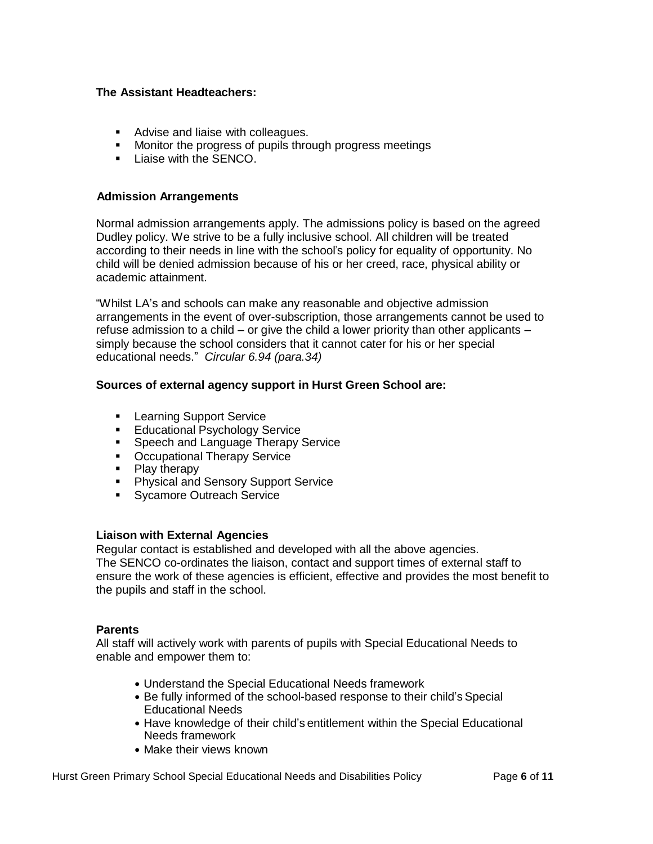#### **The Assistant Headteachers:**

- **Advise and liaise with colleagues.**
- **Monitor the progress of pupils through progress meetings**
- **Liaise with the SENCO.**

#### **Admission Arrangements**

Normal admission arrangements apply. The admissions policy is based on the agreed Dudley policy. We strive to be a fully inclusive school. All children will be treated according to their needs in line with the school's policy for equality of opportunity. No child will be denied admission because of his or her creed, race, physical ability or academic attainment.

"Whilst LA's and schools can make any reasonable and objective admission arrangements in the event of over-subscription, those arrangements cannot be used to refuse admission to a child – or give the child a lower priority than other applicants – simply because the school considers that it cannot cater for his or her special educational needs." *Circular 6.94 (para.34)*

### **Sources of external agency support in Hurst Green School are:**

- **Learning Support Service**
- **Educational Psychology Service**
- **Speech and Language Therapy Service**
- Occupational Therapy Service
- $\blacksquare$  Play therapy
- **Physical and Sensory Support Service**
- **Sycamore Outreach Service**

#### **Liaison with External Agencies**

Regular contact is established and developed with all the above agencies. The SENCO co-ordinates the liaison, contact and support times of external staff to ensure the work of these agencies is efficient, effective and provides the most benefit to the pupils and staff in the school.

#### **Parents**

All staff will actively work with parents of pupils with Special Educational Needs to enable and empower them to:

- Understand the Special Educational Needs framework
- Be fully informed of the school-based response to their child's Special Educational Needs
- Have knowledge of their child's entitlement within the Special Educational Needs framework
- Make their views known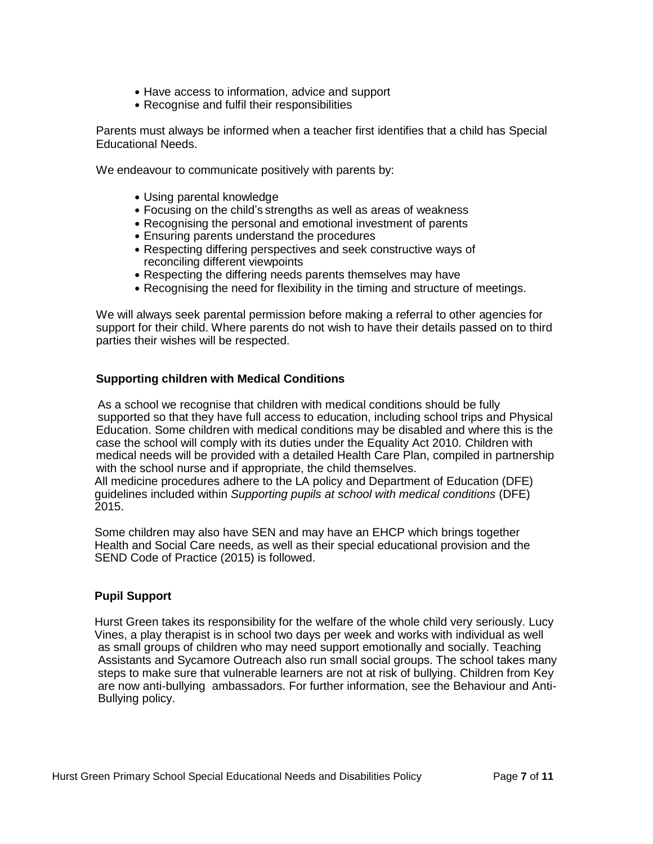- Have access to information, advice and support
- Recognise and fulfil their responsibilities

Parents must always be informed when a teacher first identifies that a child has Special Educational Needs.

We endeavour to communicate positively with parents by:

- Using parental knowledge
- Focusing on the child's strengths as well as areas of weakness
- Recognising the personal and emotional investment of parents
- Ensuring parents understand the procedures
- Respecting differing perspectives and seek constructive ways of reconciling different viewpoints
- Respecting the differing needs parents themselves may have
- Recognising the need for flexibility in the timing and structure of meetings.

We will always seek parental permission before making a referral to other agencies for support for their child. Where parents do not wish to have their details passed on to third parties their wishes will be respected.

## **Supporting children with Medical Conditions**

As a school we recognise that children with medical conditions should be fully supported so that they have full access to education, including school trips and Physical Education. Some children with medical conditions may be disabled and where this is the case the school will comply with its duties under the Equality Act 2010. Children with medical needs will be provided with a detailed Health Care Plan, compiled in partnership with the school nurse and if appropriate, the child themselves.

 All medicine procedures adhere to the LA policy and Department of Education (DFE) guidelines included within *Supporting pupils at school with medical conditions* (DFE) 2015.

 Some children may also have SEN and may have an EHCP which brings together Health and Social Care needs, as well as their special educational provision and the SEND Code of Practice (2015) is followed.

#### **Pupil Support**

Hurst Green takes its responsibility for the welfare of the whole child very seriously. Lucy Vines, a play therapist is in school two days per week and works with individual as well as small groups of children who may need support emotionally and socially. Teaching Assistants and Sycamore Outreach also run small social groups. The school takes many steps to make sure that vulnerable learners are not at risk of bullying. Children from Key are now anti-bullying ambassadors. For further information, see the Behaviour and Anti- Bullying policy.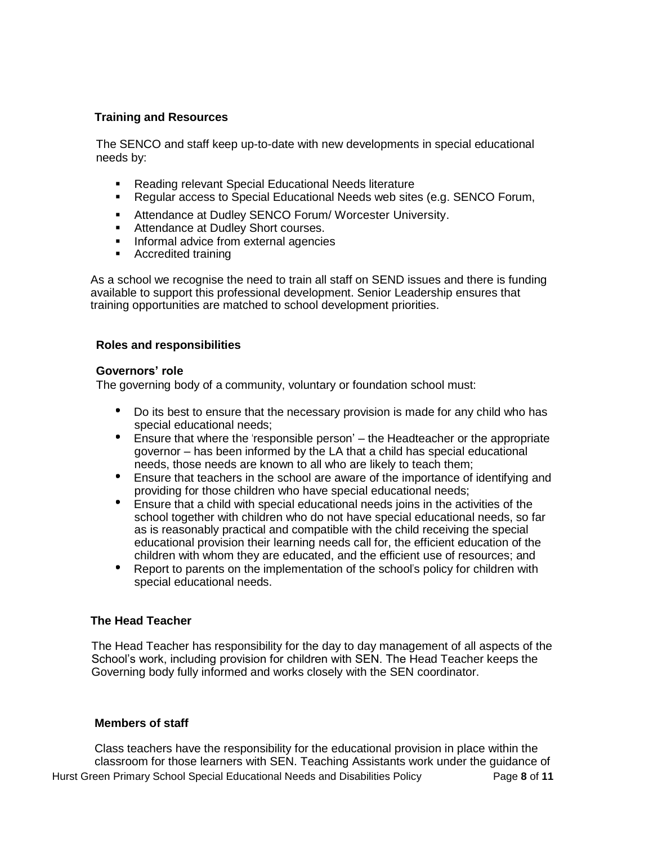## **Training and Resources**

The SENCO and staff keep up-to-date with new developments in special educational needs by:

- **Reading relevant Special Educational Needs literature**
- Regular access to Special Educational Needs web sites (e.g. SENCO Forum,
- **Attendance at Dudley SENCO Forum/ Worcester University.**
- **Attendance at Dudley Short courses.**
- **Informal advice from external agencies**
- **Accredited training**

As a school we recognise the need to train all staff on SEND issues and there is funding available to support this professional development. Senior Leadership ensures that training opportunities are matched to school development priorities.

### **Roles and responsibilities**

#### **Governors' role**

The governing body of a community, voluntary or foundation school must:

- Do its best to ensure that the necessary provision is made for any child who has special educational needs;
- Ensure that where the 'responsible person' the Headteacher or the appropriate governor – has been informed by the LA that a child has special educational needs, those needs are known to all who are likely to teach them;
- Ensure that teachers in the school are aware of the importance of identifying and providing for those children who have special educational needs;
- Ensure that a child with special educational needs joins in the activities of the school together with children who do not have special educational needs, so far as is reasonably practical and compatible with the child receiving the special educational provision their learning needs call for, the efficient education of the children with whom they are educated, and the efficient use of resources; and
- Report to parents on the implementation of the school's policy for children with special educational needs.

## **The Head Teacher**

 The Head Teacher has responsibility for the day to day management of all aspects of the School's work, including provision for children with SEN. The Head Teacher keeps the Governing body fully informed and works closely with the SEN coordinator.

#### **Members of staff**

Hurst Green Primary School Special Educational Needs and Disabilities Policy Page **8** of **11** Class teachers have the responsibility for the educational provision in place within the classroom for those learners with SEN. Teaching Assistants work under the guidance of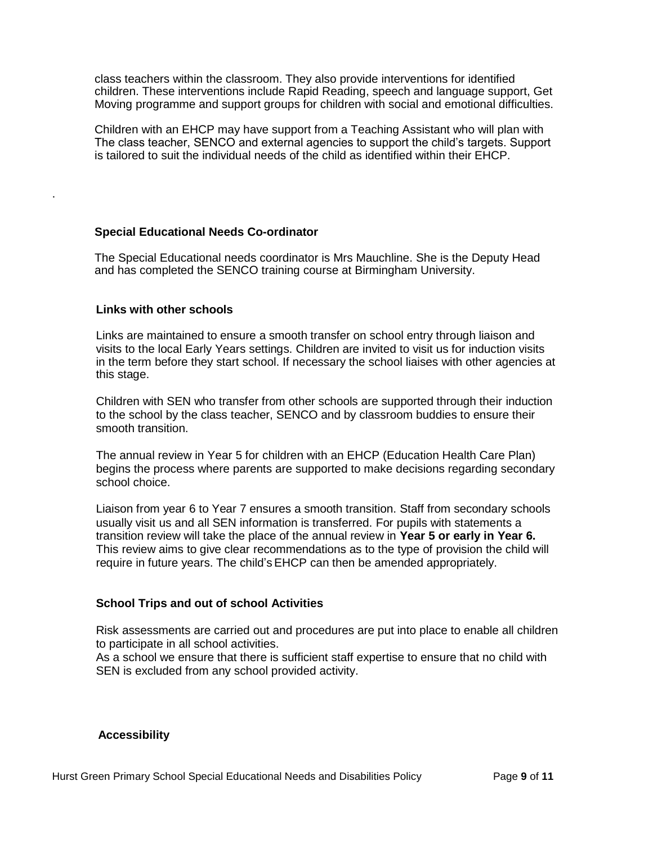class teachers within the classroom. They also provide interventions for identified children. These interventions include Rapid Reading, speech and language support, Get Moving programme and support groups for children with social and emotional difficulties.

 Children with an EHCP may have support from a Teaching Assistant who will plan with The class teacher, SENCO and external agencies to support the child's targets. Support is tailored to suit the individual needs of the child as identified within their EHCP.

#### **Special Educational Needs Co-ordinator**

The Special Educational needs coordinator is Mrs Mauchline. She is the Deputy Head and has completed the SENCO training course at Birmingham University.

#### **Links with other schools**

.

Links are maintained to ensure a smooth transfer on school entry through liaison and visits to the local Early Years settings. Children are invited to visit us for induction visits in the term before they start school. If necessary the school liaises with other agencies at this stage.

Children with SEN who transfer from other schools are supported through their induction to the school by the class teacher, SENCO and by classroom buddies to ensure their smooth transition.

The annual review in Year 5 for children with an EHCP (Education Health Care Plan) begins the process where parents are supported to make decisions regarding secondary school choice.

Liaison from year 6 to Year 7 ensures a smooth transition. Staff from secondary schools usually visit us and all SEN information is transferred. For pupils with statements a transition review will take the place of the annual review in **Year 5 or early in Year 6.** This review aims to give clear recommendations as to the type of provision the child will require in future years. The child'sEHCP can then be amended appropriately.

#### **School Trips and out of school Activities**

Risk assessments are carried out and procedures are put into place to enable all children to participate in all school activities.

As a school we ensure that there is sufficient staff expertise to ensure that no child with SEN is excluded from any school provided activity.

#### **Accessibility**